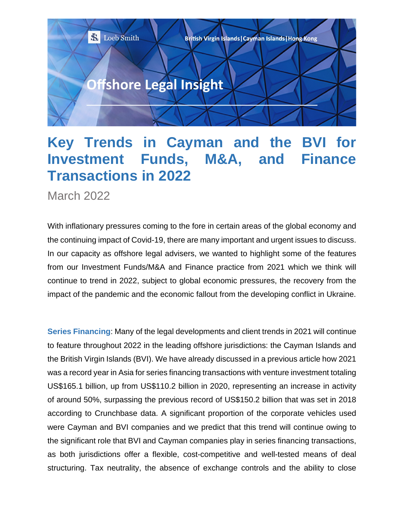

## **Key Trends in Cayman and the BVI for Investment Funds, M&A, and Finance Transactions in 2022**

March 2022

With inflationary pressures coming to the fore in certain areas of the global economy and the continuing impact of Covid-19, there are many important and urgent issues to discuss. In our capacity as offshore legal advisers, we wanted to highlight some of the features from our Investment Funds/M&A and Finance practice from 2021 which we think will continue to trend in 2022, subject to global economic pressures, the recovery from the impact of the pandemic and the economic fallout from the developing conflict in Ukraine.

**Series Financing**: Many of the legal developments and client trends in 2021 will continue to feature throughout 2022 in the leading offshore jurisdictions: the Cayman Islands and the British Virgin Islands (BVI). We have already discussed in a previous article how 2021 was a record year in Asia for series financing transactions with venture investment totaling US\$165.1 billion, up from US\$110.2 billion in 2020, representing an increase in activity of around 50%, surpassing the previous record of US\$150.2 billion that was set in 2018 according to Crunchbase data. A significant proportion of the corporate vehicles used were Cayman and BVI companies and we predict that this trend will continue owing to the significant role that BVI and Cayman companies play in series financing transactions, as both jurisdictions offer a flexible, cost-competitive and well-tested means of deal structuring. Tax neutrality, the absence of exchange controls and the ability to close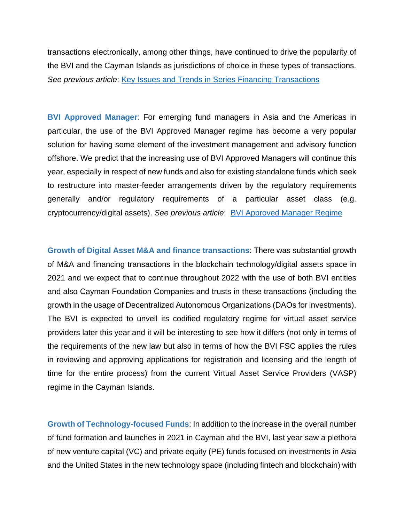transactions electronically, among other things, have continued to drive the popularity of the BVI and the Cayman Islands as jurisdictions of choice in these types of transactions. *See previous article*: [Key Issues and Trends in Series Financing Transactions](https://www.loebsmith.com/legal/key-issues-and-trends-in-series-financing-transactions-from-a-bvi-and-a-cayman-islands-law-perspective/289/)

**BVI Approved Manager**: For emerging fund managers in Asia and the Americas in particular, the use of the BVI Approved Manager regime has become a very popular solution for having some element of the investment management and advisory function offshore. We predict that the increasing use of BVI Approved Managers will continue this year, especially in respect of new funds and also for existing standalone funds which seek to restructure into master-feeder arrangements driven by the regulatory requirements generally and/or regulatory requirements of a particular asset class (e.g. cryptocurrency/digital assets). *See previous article*: [BVI Approved Manager Regime](https://www.loebsmith.com/legal/will-the-bvi-approved-manager-regime-become-even-for-cayman-islands%E2%80%99-funds-the-preferred-offshore-option-for-establishing-an-investment-manager-/243/)

**Growth of Digital Asset M&A and finance transactions**: There was substantial growth of M&A and financing transactions in the blockchain technology/digital assets space in 2021 and we expect that to continue throughout 2022 with the use of both BVI entities and also Cayman Foundation Companies and trusts in these transactions (including the growth in the usage of Decentralized Autonomous Organizations (DAOs for investments). The BVI is expected to unveil its codified regulatory regime for virtual asset service providers later this year and it will be interesting to see how it differs (not only in terms of the requirements of the new law but also in terms of how the BVI FSC applies the rules in reviewing and approving applications for registration and licensing and the length of time for the entire process) from the current Virtual Asset Service Providers (VASP) regime in the Cayman Islands.

**Growth of Technology-focused Funds**: In addition to the increase in the overall number of fund formation and launches in 2021 in Cayman and the BVI, last year saw a plethora of new venture capital (VC) and private equity (PE) funds focused on investments in Asia and the United States in the new technology space (including fintech and blockchain) with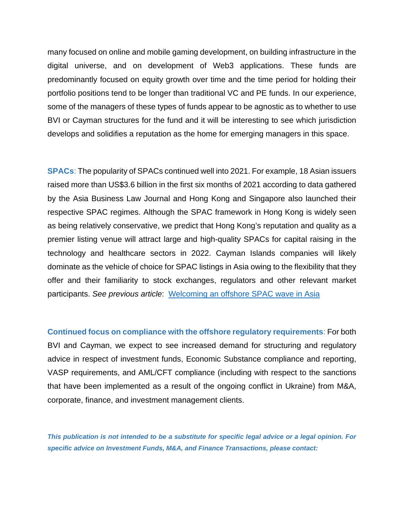many focused on online and mobile gaming development, on building infrastructure in the digital universe, and on development of Web3 applications. These funds are predominantly focused on equity growth over time and the time period for holding their portfolio positions tend to be longer than traditional VC and PE funds. In our experience, some of the managers of these types of funds appear to be agnostic as to whether to use BVI or Cayman structures for the fund and it will be interesting to see which jurisdiction develops and solidifies a reputation as the home for emerging managers in this space.

**SPACs**: The popularity of SPACs continued well into 2021. For example, 18 Asian issuers raised more than US\$3.6 billion in the first six months of 2021 according to data gathered by the Asia Business Law Journal and Hong Kong and Singapore also launched their respective SPAC regimes. Although the SPAC framework in Hong Kong is widely seen as being relatively conservative, we predict that Hong Kong's reputation and quality as a premier listing venue will attract large and high-quality SPACs for capital raising in the technology and healthcare sectors in 2022. Cayman Islands companies will likely dominate as the vehicle of choice for SPAC listings in Asia owing to the flexibility that they offer and their familiarity to stock exchanges, regulators and other relevant market participants. *See previous article*: [Welcoming an offshore SPAC wave in Asia](https://www.loebsmith.com/legal/welcoming-an-offshore-spac-wave-in-asia/275/)

**Continued focus on compliance with the offshore regulatory requirements**: For both BVI and Cayman, we expect to see increased demand for structuring and regulatory advice in respect of investment funds, Economic Substance compliance and reporting, VASP requirements, and AML/CFT compliance (including with respect to the sanctions that have been implemented as a result of the ongoing conflict in Ukraine) from M&A, corporate, finance, and investment management clients.

*This publication is not intended to be a substitute for specific legal advice or a legal opinion. For specific advice on Investment Funds, M&A, and Finance Transactions, please contact:*